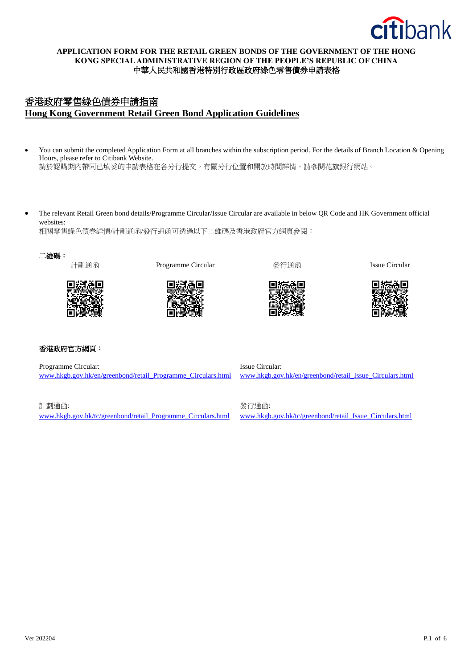

# **APPLICATION FORM FOR THE RETAIL GREEN BONDS OF THE GOVERNMENT OF THE HONG KONG SPECIAL ADMINISTRATIVE REGION OF THE PEOPLE'S REPUBLIC OF CHINA** 中華人民共和國香港特別行政區政府綠色零售債券申請表格

# 香港政府零售綠色債券申請指南 **Hong Kong Government Retail Green Bond Application Guidelines**

• You can submit the completed Application Form at all branches within the subscription period. For the details of Branch Location & Opening Hours, please refer to Citibank Website.

請於認購期內帶同已填妥的申請表格在各分行提交。有關分行位置和開放時間詳情,請參閱花旗銀行網站。

• The relevant Retail Green bond details/Programme Circular/Issue Circular are available in below QR Code and HK Government official websites:

相關零售綠色債券詳情/計劃通函/發行通函可透過以下二維碼及香港政府官方網頁參閱:





計劃通函 Programme Circular 發行通函 Issue Circular







# 香港政府官方網頁:

Programme Circular: [www.hkgb.gov.hk/en/greenbond/retail\\_Programme\\_Circulars.html](https://urldefense.com/v3/__https:/www.hkgb.gov.hk/en/greenbond/retail_Programme_Circulars.html__;!!Jkho33Y!01uk1Zys4FD13lAHmYEpT446JP3XsyBFl92FRFrupRVyTFYFyj-zqgq_tLSDOsM$)

Issue Circular: [www.hkgb.gov.hk/en/greenbond/retail\\_Issue\\_Circulars.html](https://urldefense.com/v3/__https:/www.hkgb.gov.hk/en/greenbond/retail_Issue_Circulars.html__;!!Jkho33Y!01uk1Zys4FD13lAHmYEpT446JP3XsyBFl92FRFrupRVyTFYFyj-zqgq_4Pr5qTM$)

計劃通函: [www.hkgb.gov.hk/tc/greenbond/retail\\_Programme\\_Circulars.html](https://urldefense.com/v3/__https:/www.hkgb.gov.hk/tc/greenbond/retail_Programme_Circulars.html__;!!Jkho33Y!01uk1Zys4FD13lAHmYEpT446JP3XsyBFl92FRFrupRVyTFYFyj-zqgq_udJT_9c$) 發行通函: [www.hkgb.gov.hk/tc/greenbond/retail\\_Issue\\_Circulars.html](https://urldefense.com/v3/__https:/www.hkgb.gov.hk/tc/greenbond/retail_Issue_Circulars.html__;!!Jkho33Y!01uk1Zys4FD13lAHmYEpT446JP3XsyBFl92FRFrupRVyTFYFyj-zqgq_zwIy4qw$)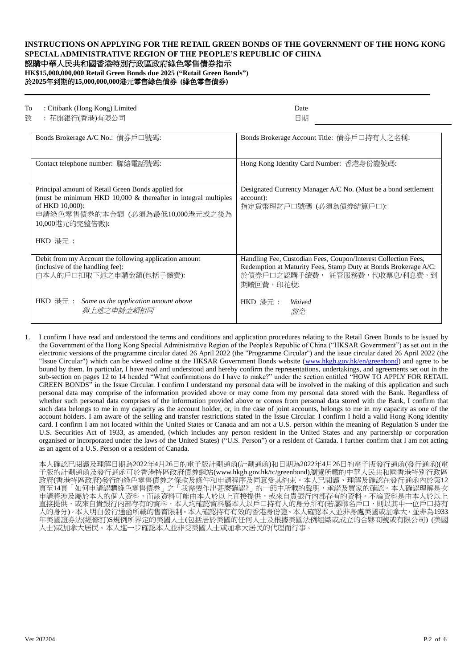# **INSTRUCTIONS ON APPLYING FOR THE RETAIL GREEN BONDS OF THE GOVERNMENT OF THE HONG KONG SPECIAL ADMINISTRATIVE REGION OF THE PEOPLE'S REPUBLIC OF CHINA**

# 認購中華人民共和國香港特別行政區政府綠色零售債券指示

**HK\$15,000,000,000 Retail Green Bonds due 2025 ("Retail Green Bonds")** 於**2025**年到期的**15,000,000,000**港元零售綠色債券 **(**綠色零售債券**)**

#### To : Citibank (Hong Kong) Limited Date

致 : 花旗銀行(香港)有限公司 日期

| Bonds Brokerage A/C No.: 債券戶口號碼:                                                                                                                                                                            | Bonds Brokerage Account Title: 債券戶口持有人之名稱:                                                                                                                                      |
|-------------------------------------------------------------------------------------------------------------------------------------------------------------------------------------------------------------|---------------------------------------------------------------------------------------------------------------------------------------------------------------------------------|
| Contact telephone number: 聯絡電話號碼:                                                                                                                                                                           | Hong Kong Identity Card Number: 香港身份證號碼:                                                                                                                                        |
| Principal amount of Retail Green Bonds applied for<br>(must be minimum HKD $10,000 \&$ thereafter in integral multiples<br>of HKD 10,000):<br>申請綠色零售債券的本金額 (必須為最低10,000港元或之後為<br>10,000港元的完整倍數):<br>HKD 港元: | Designated Currency Manager A/C No. (Must be a bond settlement<br>account):<br>指定貨幣理財戶口號碼 (必須為債券結算戶口):                                                                          |
|                                                                                                                                                                                                             |                                                                                                                                                                                 |
| Debit from my Account the following application amount<br>(inclusive of the handling fee):<br>由本人的戶口扣取下述之申購金額(包括手續費):                                                                                       | Handling Fee, Custodian Fees, Coupon/Interest Collection Fees,<br>Redemption at Maturity Fees, Stamp Duty at Bonds Brokerage A/C:<br>於債券戶口之認購手續費, 託管服務費,代收票息/利息費,到<br>期贖回費,印花稅: |
| <b>HKD</b> 港元 : Same as the application amount above<br>與上述之申請金額相同                                                                                                                                          | HKD 港元 :<br>Waived<br>豁免                                                                                                                                                        |

1. I confirm I have read and understood the terms and conditions and application procedures relating to the Retail Green Bonds to be issued by the Government of the Hong Kong Special Administrative Region of the People's Republic of China ("HKSAR Government") as set out in the electronic versions of the programme circular dated 26 April 2022 (the "Programme Circular") and the issue circular dated 26 April 2022 (the "Issue Circular") which can be viewed online at the HKSAR Government Bonds website [\(www.hkgb.gov.hk/en/greenbond\)](http://www.hkgb.gov.hk/en/greenbond) and agree to be bound by them. In particular, I have read and understood and hereby confirm the representations, undertakings, and agreements set out in the sub-section on pages 12 to 14 headed "What confirmations do I have to make?" under the section entitled "HOW TO APPLY FOR RETAIL GREEN BONDS" in the Issue Circular. I confirm I understand my personal data will be involved in the making of this application and such personal data may comprise of the information provided above or may come from my personal data stored with the Bank. Regardless of whether such personal data comprises of the information provided above or comes from personal data stored with the Bank, I confirm that such data belongs to me in my capacity as the account holder, or, in the case of joint accounts, belongs to me in my capacity as one of the account holders. I am aware of the selling and transfer restrictions stated in the Issue Circular. I confirm I hold a valid Hong Kong identity card. I confirm I am not located within the United States or Canada and am not a U.S. person within the meaning of Regulation S under the U.S. Securities Act of 1933, as amended, (which includes any person resident in the United States and any partnership or corporation organised or incorporated under the laws of the United States) ("U.S. Person") or a resident of Canada. I further confirm that I am not acting as an agent of a U.S. Person or a resident of Canada.

本人確認已閱讀及理解日期為2022年4月26日的電子版計劃通函(計劃通函)和日期為2022年4月26日的電子版發行通函(發行通函)(電 子版的計劃通函及發行通函可於香港特區政府債券網站(www.hkgb.gov.hk/tc/greenbond)瀏覽所載的中華人民共和國香港特別行政區 政府(香港特區政府)發行的綠色零售債券之條款及條件和申請程序及同意受其約束。本人已閲讀、理解及確認在發行通函內於第12 頁至14頁「如何申請認購綠色零售債券」之「我需要作出甚麼確認?」的一節中所載的聲明,承諾及買家的確認。本人確認理解是次 申請將涉及屬於本人的個人資料,而該資料可能由本人於以上直接提供,或來自貴銀行內部存有的資料。不論資料是由本人於以上 直接提供,或來自貴銀行內部存有的資料,本人均確認資料屬本人以戶口持有人的身分所有(若屬聯名戶口,則以其中一位戶口持有 人的身分)。本人明白發行通函所載的售賣限制。本人確認持有有效的香港身份證。本人確認本人並非身處美國或加拿大,並非為1933 年美國證券法(經修訂)S規例所界定的美國人士(包括居於美國的任何人士及根據美國法例組織或成立的合夥商號或有限公司) (美國 人士)或加拿大居民。本人進一步確認本人並非受美國人士或加拿大居民的代理而行事。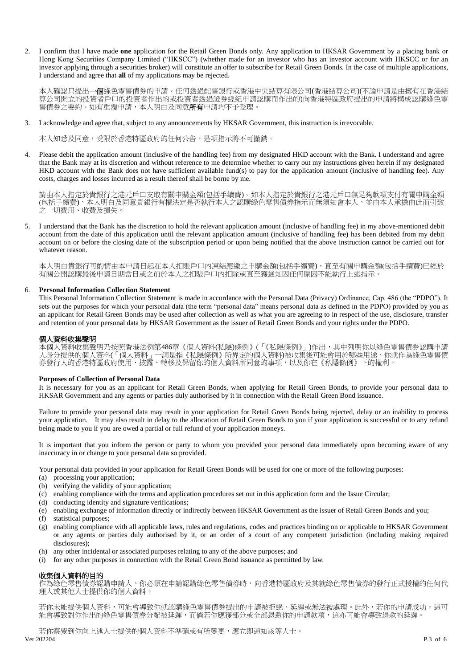2. I confirm that I have made **one** application for the Retail Green Bonds only. Any application to HKSAR Government by a placing bank or Hong Kong Securities Company Limited ("HKSCC") (whether made for an investor who has an investor account with HKSCC or for an investor applying through a securities broker) will constitute an offer to subscribe for Retail Green Bonds. In the case of multiple applications, I understand and agree that **all** of my applications may be rejected.

本人確認只提出一個綠色零售債券的申請。任何透過配售銀行或香港中央結算有限公司(香港結算公司)(不論申請是由擁有在香港結 算公司開立的投資者戶口的投資者作出的或投資者透過證券經紀申請認購而作出的)向香港特區政府提出的申請將構成認購綠色零 售債券之要約。如有重覆申請,本人明白及同意**所有**申請均不予受理。

3. I acknowledge and agree that, subject to any announcements by HKSAR Government, this instruction is irrevocable.

本人知悉及同意,受限於香港特區政府的任何公告,是項指示將不可撤銷。

4. Please debit the application amount (inclusive of the handling fee) from my designated HKD account with the Bank. I understand and agree that the Bank may at its discretion and without reference to me determine whether to carry out my instructions given herein if my designated HKD account with the Bank does not have sufficient available fund(s) to pay for the application amount (inclusive of handling fee). Any costs, charges and losses incurred as a result thereof shall be borne by me.

請由本人指定於貴銀行之港元戶口支取有關申購金額(包括手續費)。如本人指定於貴銀行之港元戶口無足夠款項支付有關申購金額 (包括手續費),本人明白及同意貴銀行有權決定是否執行本人之認購綠色零售債券指示而無須知會本人,並由本人承擔由此而引致 之一切費用、收費及損失。

5. I understand that the Bank has the discretion to hold the relevant application amount (inclusive of handling fee) in my above-mentioned debit account from the date of this application until the relevant application amount (inclusive of handling fee) has been debited from my debit account on or before the closing date of the subscription period or upon being notified that the above instruction cannot be carried out for whatever reason.

本人明白貴銀行可酌情由本申請日起在本人扣賬戶口內凍結應繳之申購金額(包括手續費),直至有關申購金額(包括手續費)已經於 有關公開認購最後申請日期當日或之前於本人之扣賬戶口內扣除或直至獲通知因任何原因不能執行上述指示。

### 6. **Personal Information Collection Statement**

This Personal Information Collection Statement is made in accordance with the Personal Data (Privacy) Ordinance, Cap. 486 (the "PDPO"). It sets out the purposes for which your personal data (the term "personal data" means personal data as defined in the PDPO) provided by you as an applicant for Retail Green Bonds may be used after collection as well as what you are agreeing to in respect of the use, disclosure, transfer and retention of your personal data by HKSAR Government as the issuer of Retail Green Bonds and your rights under the PDPO.

#### 個人資料收集聲明

本個人資料收集聲明乃按照香港法例第486章《個人資料(私隱)條例》(「《私隱條例》」)作出,其中列明你以綠色零售債券認購申請 人身分提供的個人資料(「個人資料」一詞是指《私隱條例》所界定的個人資料)被收集後可能會用於哪些用途、你就作為綠色零售債 券發行人的香港特區政府使用、披露、轉移及保留你的個人資料所同意的事項,以及你在《私隱條例》下的權利。

#### **Purposes of Collection of Personal Data**

It is necessary for you as an applicant for Retail Green Bonds, when applying for Retail Green Bonds, to provide your personal data to HKSAR Government and any agents or parties duly authorised by it in connection with the Retail Green Bond issuance.

Failure to provide your personal data may result in your application for Retail Green Bonds being rejected, delay or an inability to process your application. It may also result in delay to the allocation of Retail Green Bonds to you if your application is successful or to any refund being made to you if you are owed a partial or full refund of your application moneys.

It is important that you inform the person or party to whom you provided your personal data immediately upon becoming aware of any inaccuracy in or change to your personal data so provided.

Your personal data provided in your application for Retail Green Bonds will be used for one or more of the following purposes:

- (a) processing your application;
- (b) verifying the validity of your application;
- (c) enabling compliance with the terms and application procedures set out in this application form and the Issue Circular;
- (d) conducting identity and signature verifications;
- (e) enabling exchange of information directly or indirectly between HKSAR Government as the issuer of Retail Green Bonds and you;
- (f) statistical purposes;
- (g) enabling compliance with all applicable laws, rules and regulations, codes and practices binding on or applicable to HKSAR Government or any agents or parties duly authorised by it, or an order of a court of any competent jurisdiction (including making required disclosures);
- (h) any other incidental or associated purposes relating to any of the above purposes; and
- (i) for any other purposes in connection with the Retail Green Bond issuance as permitted by law.

#### 收集個人資料的目的

作為綠色零售債券認購申請人,你必須在申請認購綠色零售債券時,向香港特區政府及其就綠色零售債券的發行正式授權的任何代 理人或其他人士提供你的個人資料。

若你未能提供個人資料,可能會導致你就認購綠色零售債券提出的申請被拒絕、延遲或無法被處理。此外,若你的申請成功,這可 能會導致對你作出的綠色零售債券分配被延遲,而倘若你應獲部分或全部退還你的申請款項,這亦可能會導致退款的延遲。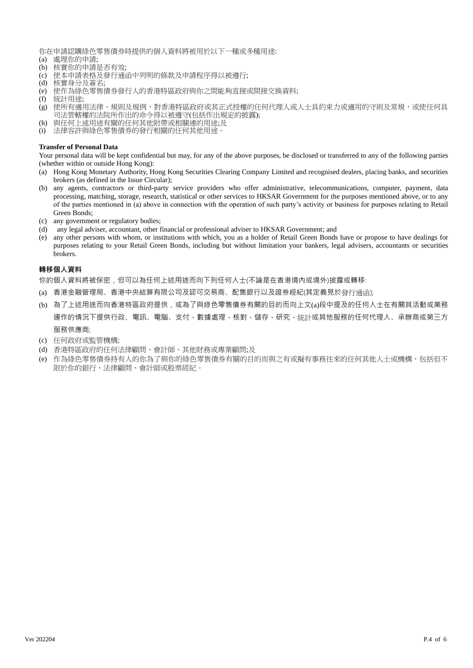你在申請認購綠色零售債券時提供的個人資料將被用於以下一種或多種用途:

- (a) 處理你的申請;
- (b) 核實你的申請是否有效;
- (c) 使本申請表格及發行通函中列明的條款及申請程序得以被遵行;
- (d) 核實身分及簽名;
- (e) 使作為綠色零售債券發行人的香港特區政府與你之間能夠直接或間接交換資料;
- (f) 統計用途;
- (g) 使所有適用法律、規則及規例,對香港特區政府或其正式授權的任何代理人或人士具約束力或適用的守則及常規,或使任何具 司法管轄權的法院所作出的命令得以被遵守(包括作出規定的披露);
- (h) 與任何上述用途有關的任何其他附帶或相關連的用途;及
- (i) 法律容許與綠色零售債券的發行相關的任何其他用途。

### **Transfer of Personal Data**

Your personal data will be kept confidential but may, for any of the above purposes, be disclosed or transferred to any of the following parties (whether within or outside Hong Kong):

- (a) Hong Kong Monetary Authority, Hong Kong Securities Clearing Company Limited and recognised dealers, placing banks, and securities brokers (as defined in the Issue Circular);
- (b) any agents, contractors or third-party service providers who offer administrative, telecommunications, computer, payment, data processing, matching, storage, research, statistical or other services to HKSAR Government for the purposes mentioned above, or to any of the parties mentioned in (a) above in connection with the operation of such party's activity or business for purposes relating to Retail Green Bonds;
- (c) any government or regulatory bodies;
- (d) any legal adviser, accountant, other financial or professional adviser to HKSAR Government; and
- (e) any other persons with whom, or institutions with which, you as a holder of Retail Green Bonds have or propose to have dealings for purposes relating to your Retail Green Bonds, including but without limitation your bankers, legal advisers, accountants or securities brokers.

#### **轉移個人資料**

你的個人資料將被保密,但可以為任何上述用途而向下列任何人士(不論是在香港境內或境外)披露或轉移:

- (a) 香港金融管理局、香港中央結算有限公司及認可交易商、配售銀行以及證券經紀(其定義見於發行通函);
- (b) 為了上述用途而向香港特區政府提供,或為了與綠色零售債券有關的目的而向上文(a)段中提及的任何人士在有關其活動或業務 運作的情況下提供行政、電訊、電腦、支付、數據處理、核對、儲存、研究、統計或其他服務的任何代理人、承辦商或第三方 服務供應商;
- (c) 任何政府或監管機構;
- (d) 香港特區政府的任何法律顧問、會計師、其他財務或專業顧問;及
- (e) 作為綠色零售債券持有人的你為了與你的綠色零售債券有關的目的而與之有或擬有事務往來的任何其他人士或機構,包括但不 限於你的銀行、法律顧問、會計師或股票經紀。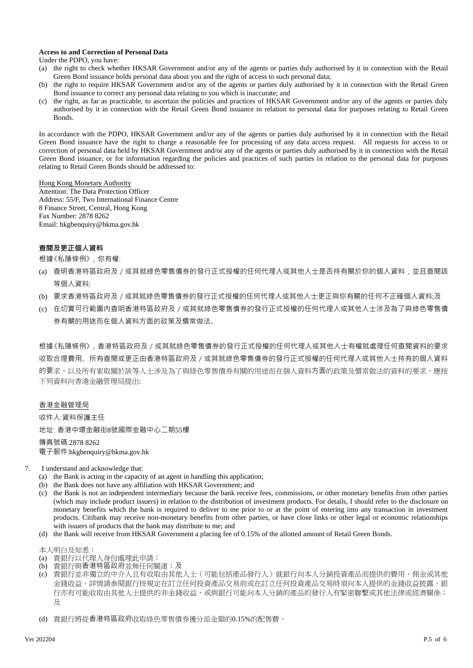#### **Access to and Correction of Personal Data**

Under the PDPO, you have:

- (a) the right to check whether HKSAR Government and/or any of the agents or parties duly authorised by it in connection with the Retail Green Bond issuance holds personal data about you and the right of access to such personal data;
- (b) the right to require HKSAR Government and/or any of the agents or parties duly authorised by it in connection with the Retail Green Bond issuance to correct any personal data relating to you which is inaccurate; and
- (c) the right, as far as practicable, to ascertain the policies and practices of HKSAR Government and/or any of the agents or parties duly authorised by it in connection with the Retail Green Bond issuance in relation to personal data for purposes relating to Retail Green Bonds.

In accordance with the PDPO, HKSAR Government and/or any of the agents or parties duly authorised by it in connection with the Retail Green Bond issuance have the right to charge a reasonable fee for processing of any data access request. All requests for access to or correction of personal data held by HKSAR Government and/or any of the agents or parties duly authorised by it in connection with the Retail Green Bond issuance, or for information regarding the policies and practices of such parties in relation to the personal data for purposes relating to Retail Green Bonds should be addressed to:

Hong Kong Monetary Authority

Attention: The Data Protection Officer Address: 55/F, Two International Finance Centre 8 Finance Street, Central, Hong Kong Fax Number: 2878 8262 Email: hkgbenquiry@hkma.gov.hk

# **查閱及更正個人資料**

根據《私隱條例》,你有權:

- (a) 查明香港特區政府及/或其就綠色零售債券的發行正式授權的任何代理人或其他人士是否持有關於你的個人資料,並且查閱該 等個人資料;
- (b) 要求香港特區政府及/或其就綠色零售債券的發行正式授權的任何代理人或其他人士更正與你有關的任何不正確個人資料;及
- (c) 在切實可行範圍內查明香港特區政府及/或其就綠色零售債券的發行正式授權的任何代理人或其他人士涉及為了與綠色零售債 券有關的用途而在個人資料方面的政策及慣常做法。

根據《私隱條例》,香港特區政府及/或其就綠色零售債券的發行正式授權的任何代理人或其他人士有權就處理任何查閱資料的要求 收取合理費用。所有查閱或更正由香港特區政府及/或其就綠色零售債券的發行正式授權的任何代理人或其他人士持有的個人資料 的要求,以及所有索取關於該等人士涉及為了與綠色零售債券有關的用途而在個人資料方面的政策及慣常做法的資料的要求,應按 下列資料向香港金融管理局提出:

# 香港金融管理局

收件人:資料保護主任

地址: 香港中環金融街8號國際金融中心二期55樓

#### 傳真號碼:2878 8262

電子郵件:hkgbenquiry@hkma.gov.hk

- 7. I understand and acknowledge that:
	- (a) the Bank is acting in the capacity of an agent in handling this application;
	- (b) the Bank does not have any affiliation with HKSAR Government; and
	- (c) the Bank is not an independent intermediary because the bank receive fees, commissions, or other monetary benefits from other parties (which may include product issuers) in relation to the distribution of investment products. For details, I should refer to the disclosure on monetary benefits which the bank is required to deliver to me prior to or at the point of entering into any transaction in investment products. Citibank may receive non-monetary benefits from other parties, or have close links or other legal or economic relationships with issuers of products that the bank may distribute to me; and
	- (d) the Bank will receive from HKSAR Government a placing fee of 0.15% of the allotted amount of Retail Green Bonds.

本人明白及知悉:

- (a) 貴銀行以代理人身份處理此申請;
- (b) 貴銀行與香港特區政府並無任何關連;及
- (c) 貴銀行並非獨立的中介人且有收取由其他人士(可能包括產品發行人)就銀行向本人分銷投資產品而提供的費用、佣金或其他 金錢收益。詳情請參閱銀行按規定在訂立任何投資產品交易前或在訂立任何投資產品交易時須向本人提供的金錢收益披露。銀 行亦有可能收取由其他人士提供的非金錢收益,或與銀行可能向本人分銷的產品的發行人有緊密聯繫或其他法律或經濟關係; 及

(d) 貴銀行將從香港特區政府收取綠色零售債券獲分派金額的0.15%的配售費。